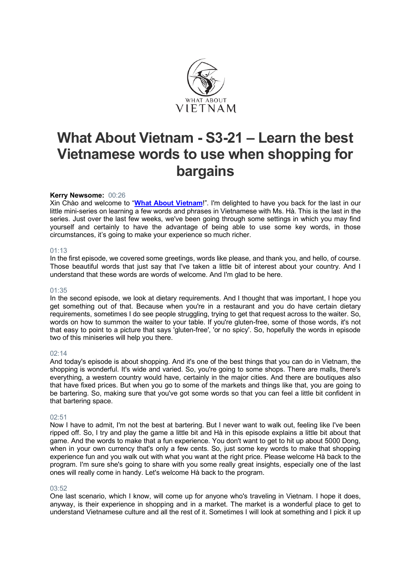

## **What About Vietnam - S3-21 – Learn the best Vietnamese words to use when shopping for bargains**

#### **Kerry Newsome:** 00:26

Xin Chào and welcome to "**What About Vietnam**!". I'm delighted to have you back for the last in our little mini-series on learning a few words and phrases in Vietnamese with Ms. Hà. This is the last in the series. Just over the last few weeks, we've been going through some settings in which you may find yourself and certainly to have the advantage of being able to use some key words, in those circumstances, it's going to make your experience so much richer.

#### 01:13

In the first episode, we covered some greetings, words like please, and thank you, and hello, of course. Those beautiful words that just say that I've taken a little bit of interest about your country. And I understand that these words are words of welcome. And I'm glad to be here.

#### 01:35

In the second episode, we look at dietary requirements. And I thought that was important, I hope you get something out of that. Because when you're in a restaurant and you do have certain dietary requirements, sometimes I do see people struggling, trying to get that request across to the waiter. So, words on how to summon the waiter to your table. If you're gluten-free, some of those words, it's not that easy to point to a picture that says 'gluten-free', 'or no spicy'. So, hopefully the words in episode two of this miniseries will help you there.

#### $02.14$

And today's episode is about shopping. And it's one of the best things that you can do in Vietnam, the shopping is wonderful. It's wide and varied. So, you're going to some shops. There are malls, there's everything, a western country would have, certainly in the major cities. And there are boutiques also that have fixed prices. But when you go to some of the markets and things like that, you are going to be bartering. So, making sure that you've got some words so that you can feel a little bit confident in that bartering space.

#### 02:51

Now I have to admit, I'm not the best at bartering. But I never want to walk out, feeling like I've been ripped off. So, I try and play the game a little bit and Hà in this episode explains a little bit about that game. And the words to make that a fun experience. You don't want to get to hit up about 5000 Dong, when in your own currency that's only a few cents. So, just some key words to make that shopping experience fun and you walk out with what you want at the right price. Please welcome Hà back to the program. I'm sure she's going to share with you some really great insights, especially one of the last ones will really come in handy. Let's welcome Hà back to the program.

#### 03:52

One last scenario, which I know, will come up for anyone who's traveling in Vietnam. I hope it does, anyway, is their experience in shopping and in a market. The market is a wonderful place to get to understand Vietnamese culture and all the rest of it. Sometimes I will look at something and I pick it up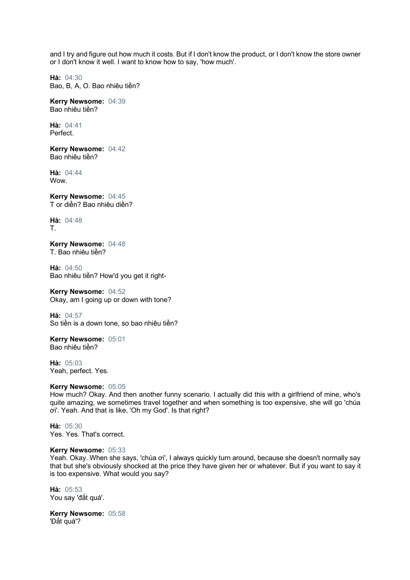and I try and figure out how much it costs. But if I don't know the product, or I don't know the store owner or I don't know it well. I want to know how to say, 'how much'.

**Hà:** 04:30 Bao, B, A, O. Bao nhiêu tiền?

**Kerry Newsome:** 04:39 Bao nhiêu tiền?

**Hà:** 04:41 Perfect.

**Kerry Newsome:** 04:42 Bao nhiêu tiền?

**Hà:** 04:44 **Wow.** 

**Kerry Newsome:** 04:45 T or diền? Bao nhiêu diền?

**Hà:** 04:48 T.

**Kerry Newsome:** 04:48 T. Bao nhiêu tiền?

**Hà:** 04:50 Bao nhiêu tiền? How'd you get it right-

**Kerry Newsome:** 04:52 Okay, am I going up or down with tone?

**Hà:** 04:57 So tiền is a down tone, so bao nhiêu tiền?

**Kerry Newsome:** 05:01 Bao nhiêu tiền?

**Hà:** 05:03 Yeah, perfect. Yes.

#### **Kerry Newsome:** 05:05

How much? Okay. And then another funny scenario. I actually did this with a girlfriend of mine, who's quite amazing, we sometimes travel together and when something is too expensive, she will go 'chúa ơi'. Yeah. And that is like, 'Oh my God'. Is that right?

**Hà:** 05:30 Yes. Yes. That's correct.

#### **Kerry Newsome:** 05:33

Yeah. Okay. When she says, 'chúa ơi', I always quickly turn around, because she doesn't normally say that but she's obviously shocked at the price they have given her or whatever. But if you want to say it is too expensive. What would you say?

**Hà:** 05:53 You say 'đắt quá'.

**Kerry Newsome:** 05:58 'Đắt quá'?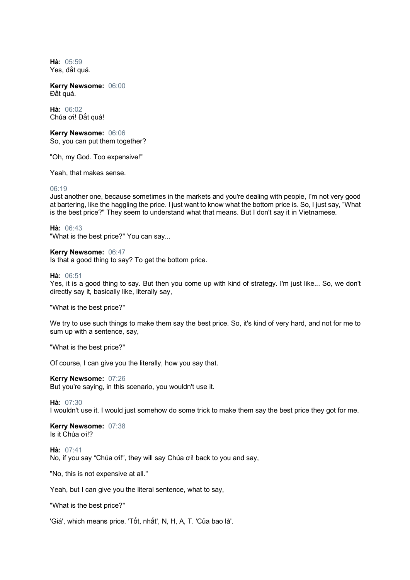**Hà:** 05:59 Yes, đắt quá.

**Kerry Newsome:** 06:00 Đắt quá.

**Hà:** 06:02 Chúa ơi! Đắt quá!

**Kerry Newsome:** 06:06 So, you can put them together?

"Oh, my God. Too expensive!"

Yeah, that makes sense.

#### 06:19

Just another one, because sometimes in the markets and you're dealing with people, I'm not very good at bartering, like the haggling the price. I just want to know what the bottom price is. So, I just say, "What is the best price?" They seem to understand what that means. But I don't say it in Vietnamese.

**Hà:** 06:43

"What is the best price?" You can say...

**Kerry Newsome:** 06:47 Is that a good thing to say? To get the bottom price.

#### **Hà:** 06:51

Yes, it is a good thing to say. But then you come up with kind of strategy. I'm just like... So, we don't directly say it, basically like, literally say,

"What is the best price?"

We try to use such things to make them say the best price. So, it's kind of very hard, and not for me to sum up with a sentence, say,

"What is the best price?"

Of course, I can give you the literally, how you say that.

**Kerry Newsome:** 07:26 But you're saying, in this scenario, you wouldn't use it.

**Hà:** 07:30

I wouldn't use it. I would just somehow do some trick to make them say the best price they got for me.

#### **Kerry Newsome:** 07:38 Is it Chúa ơi!?

**Hà:** 07:41 No, if you say "Chúa ơi!", they will say Chúa ơi! back to you and say,

"No, this is not expensive at all."

Yeah, but I can give you the literal sentence, what to say,

"What is the best price?"

'Giá', which means price. 'Tốt, nhất', N, H, A, T. 'Của bao là'.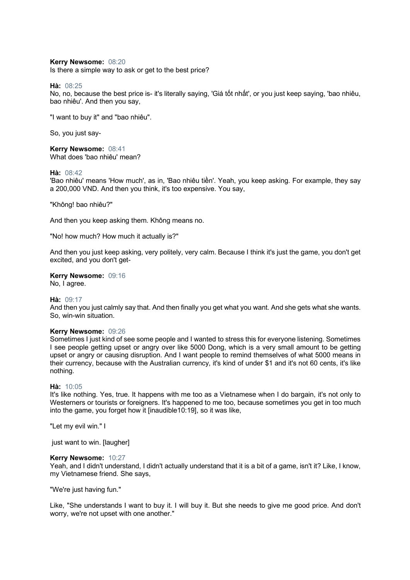#### **Kerry Newsome:** 08:20

Is there a simple way to ask or get to the best price?

**Hà:** 08:25

No, no, because the best price is- it's literally saying, 'Giá tốt nhất', or you just keep saying, 'bao nhiêu, bao nhiêu'. And then you say,

"I want to buy it" and "bao nhiêu".

So, you just say-

**Kerry Newsome:** 08:41 What does 'bao nhiêu' mean?

#### **Hà:** 08:42

'Bao nhiêu' means 'How much', as in, 'Bao nhiêu tiền'. Yeah, you keep asking. For example, they say a 200,000 VND. And then you think, it's too expensive. You say,

"Không! bao nhiêu?"

And then you keep asking them. Không means no.

"No! how much? How much it actually is?"

And then you just keep asking, very politely, very calm. Because I think it's just the game, you don't get excited, and you don't get-

**Kerry Newsome:** 09:16

No, I agree.

#### **Hà:** 09:17

And then you just calmly say that. And then finally you get what you want. And she gets what she wants. So, win-win situation.

#### **Kerry Newsome:** 09:26

Sometimes I just kind of see some people and I wanted to stress this for everyone listening. Sometimes I see people getting upset or angry over like 5000 Dong, which is a very small amount to be getting upset or angry or causing disruption. And I want people to remind themselves of what 5000 means in their currency, because with the Australian currency, it's kind of under \$1 and it's not 60 cents, it's like nothing.

#### **Hà:** 10:05

It's like nothing. Yes, true. It happens with me too as a Vietnamese when I do bargain, it's not only to Westerners or tourists or foreigners. It's happened to me too, because sometimes you get in too much into the game, you forget how it [inaudible10:19], so it was like,

"Let my evil win." I

just want to win. [laugher]

#### **Kerry Newsome:** 10:27

Yeah, and I didn't understand, I didn't actually understand that it is a bit of a game, isn't it? Like, I know, my Vietnamese friend. She says,

"We're just having fun."

Like, "She understands I want to buy it. I will buy it. But she needs to give me good price. And don't worry, we're not upset with one another."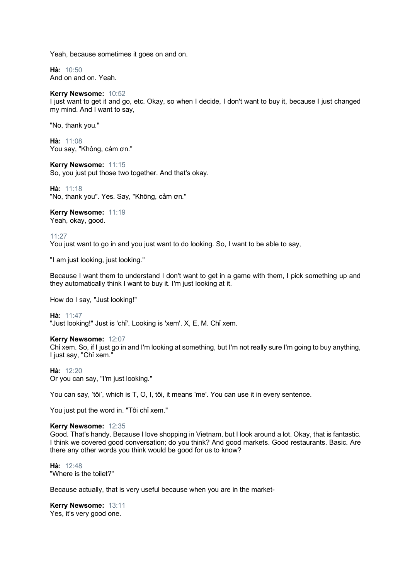Yeah, because sometimes it goes on and on.

**Hà:** 10:50 And on and on. Yeah.

#### **Kerry Newsome:** 10:52

I just want to get it and go, etc. Okay, so when I decide, I don't want to buy it, because I just changed my mind. And I want to say,

"No, thank you."

**Hà:** 11:08 You say, "Không, cảm ơn."

**Kerry Newsome:** 11:15 So, you just put those two together. And that's okay.

**Hà:** 11:18 "No, thank you". Yes. Say, "Không, cảm ơn."

### **Kerry Newsome:** 11:19

Yeah, okay, good.

11:27

You just want to go in and you just want to do looking. So, I want to be able to say,

"I am just looking, just looking."

Because I want them to understand I don't want to get in a game with them, I pick something up and they automatically think I want to buy it. I'm just looking at it.

How do I say, "Just looking!"

**Hà:** 11:47 "Just looking!" Just is 'chỉ'. Looking is 'xem'. X, E, M. Chỉ xem.

#### **Kerry Newsome:** 12:07

Chỉ xem. So, if I just go in and I'm looking at something, but I'm not really sure I'm going to buy anything, I just say, "Chỉ xem."

**Hà:** 12:20 Or you can say, "I'm just looking."

You can say, 'tôi', which is T, O, I, tôi, it means 'me'. You can use it in every sentence.

You just put the word in. "Tôi chỉ xem."

#### **Kerry Newsome:** 12:35

Good. That's handy. Because I love shopping in Vietnam, but I look around a lot. Okay, that is fantastic. I think we covered good conversation; do you think? And good markets. Good restaurants. Basic. Are there any other words you think would be good for us to know?

**Hà:** 12:48 "Where is the toilet?"

Because actually, that is very useful because when you are in the market-

**Kerry Newsome:** 13:11 Yes, it's very good one.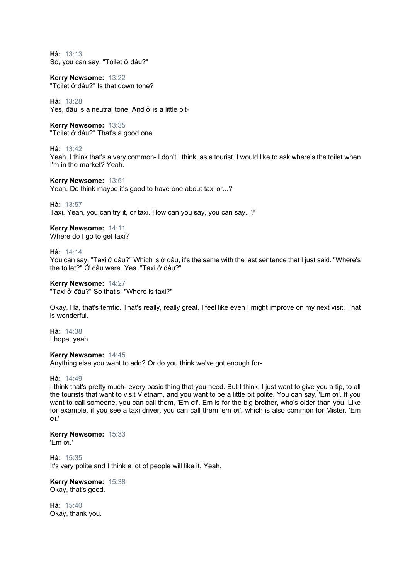**Hà:** 13:13 So, you can say, "Toilet ở đâu?"

**Kerry Newsome:** 13:22 "Toilet ở đâu?" Is that down tone?

**Hà:** 13:28 Yes, đâu is a neutral tone. And ở is a little bit-

**Kerry Newsome:** 13:35 "Toilet ở đâu?" That's a good one.

**Hà:** 13:42

Yeah, I think that's a very common- I don't I think, as a tourist, I would like to ask where's the toilet when I'm in the market? Yeah.

**Kerry Newsome:** 13:51 Yeah. Do think maybe it's good to have one about taxi or...?

**Hà:** 13:57

Taxi. Yeah, you can try it, or taxi. How can you say, you can say...?

**Kerry Newsome:** 14:11 Where do I go to get taxi?

**Hà:** 14:14

You can say, "Taxi ở đâu?" Which is ở đâu, it's the same with the last sentence that I just said. "Where's the toilet?" Ở đâu were. Yes. "Taxi ở đâu?"

**Kerry Newsome:** 14:27 "Taxi ở đâu?" So that's: "Where is taxi?"

Okay, Hà, that's terrific. That's really, really great. I feel like even I might improve on my next visit. That is wonderful.

**Hà:** 14:38 I hope, yeah.

**Kerry Newsome:** 14:45 Anything else you want to add? Or do you think we've got enough for-

**Hà:** 14:49

I think that's pretty much- every basic thing that you need. But I think, I just want to give you a tip, to all the tourists that want to visit Vietnam, and you want to be a little bit polite. You can say, 'Em ơi'. If you want to call someone, you can call them, 'Em oi'. Em is for the big brother, who's older than you. Like for example, if you see a taxi driver, you can call them 'em ơi', which is also common for Mister. 'Em ơi.'

**Kerry Newsome:** 15:33 'Em ơi.'

**Hà:** 15:35 It's very polite and I think a lot of people will like it. Yeah.

**Kerry Newsome:** 15:38 Okay, that's good.

**Hà:** 15:40 Okay, thank you.